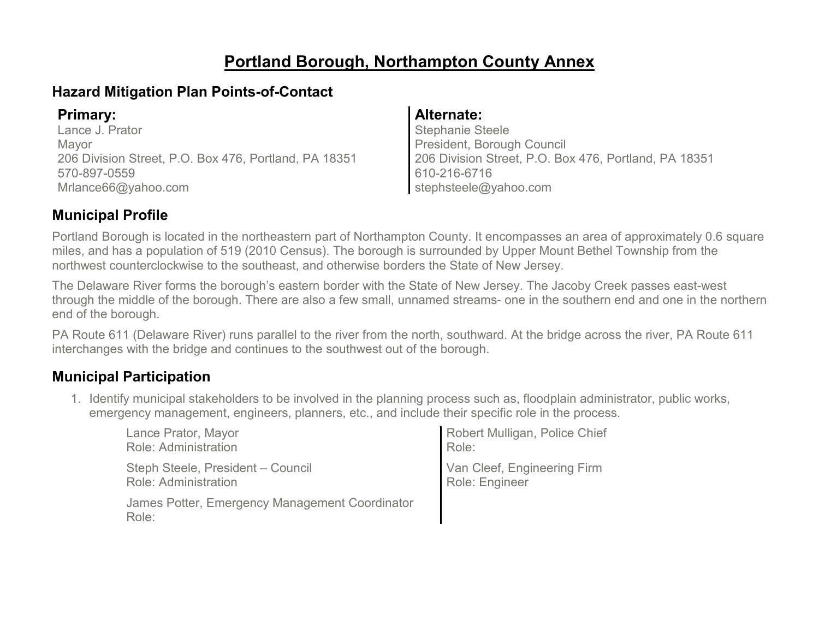# **Portland Borough, Northampton County Annex**

### **Hazard Mitigation Plan Points-of-Contact**

Lance J. Prator Mayor 206 Division Street, P.O. Box 476, Portland, PA 18351 570-897-0559 Mrlance66@yahoo.com

#### **Primary: Alternate:**

Stephanie Steele President, Borough Council 206 Division Street, P.O. Box 476, Portland, PA 18351 610-216-6716 stephsteele@yahoo.com

### **Municipal Profile**

Portland Borough is located in the northeastern part of Northampton County. It encompasses an area of approximately 0.6 square miles, and has a population of 519 (2010 Census). The borough is surrounded by Upper Mount Bethel Township from the northwest counterclockwise to the southeast, and otherwise borders the State of New Jersey.

The Delaware River forms the borough's eastern border with the State of New Jersey. The Jacoby Creek passes east-west through the middle of the borough. There are also a few small, unnamed streams- one in the southern end and one in the northern end of the borough.

PA Route 611 (Delaware River) runs parallel to the river from the north, southward. At the bridge across the river, PA Route 611 interchanges with the bridge and continues to the southwest out of the borough.

### **Municipal Participation**

1. Identify municipal stakeholders to be involved in the planning process such as, floodplain administrator, public works, emergency management, engineers, planners, etc., and include their specific role in the process.

| Lance Prator, Mayor                                     | Robert Mulligan, Police Chief |
|---------------------------------------------------------|-------------------------------|
| <b>Role: Administration</b>                             | Role:                         |
| Steph Steele, President - Council                       | Van Cleef, Engineering Firm   |
| <b>Role: Administration</b>                             | Role: Engineer                |
| James Potter, Emergency Management Coordinator<br>Role: |                               |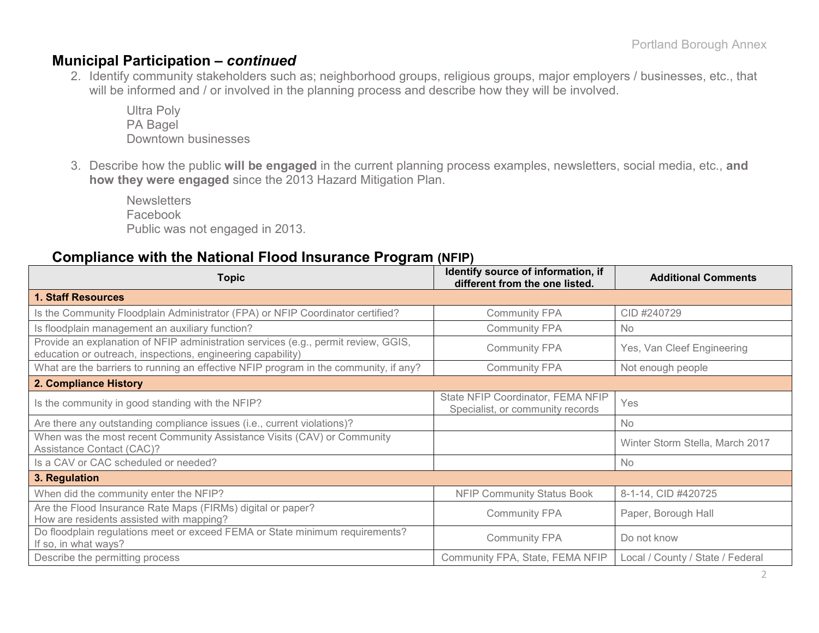### **Municipal Participation –** *continued*

2. Identify community stakeholders such as; neighborhood groups, religious groups, major employers / businesses, etc., that will be informed and / or involved in the planning process and describe how they will be involved.

Ultra Poly PA Bagel Downtown businesses

3. Describe how the public **will be engaged** in the current planning process examples, newsletters, social media, etc., **and how they were engaged** since the 2013 Hazard Mitigation Plan.

**Newsletters** Facebook Public was not engaged in 2013.

#### **Compliance with the National Flood Insurance Program (NFIP)**

| <b>Topic</b>                                                                                                                                      | Identify source of information, if<br>different from the one listed.  | <b>Additional Comments</b>       |
|---------------------------------------------------------------------------------------------------------------------------------------------------|-----------------------------------------------------------------------|----------------------------------|
| <b>1. Staff Resources</b>                                                                                                                         |                                                                       |                                  |
| Is the Community Floodplain Administrator (FPA) or NFIP Coordinator certified?                                                                    | <b>Community FPA</b>                                                  | CID #240729                      |
| Is floodplain management an auxiliary function?                                                                                                   | <b>Community FPA</b>                                                  | <b>No</b>                        |
| Provide an explanation of NFIP administration services (e.g., permit review, GGIS,<br>education or outreach, inspections, engineering capability) | <b>Community FPA</b>                                                  | Yes, Van Cleef Engineering       |
| What are the barriers to running an effective NFIP program in the community, if any?                                                              | <b>Community FPA</b>                                                  | Not enough people                |
| 2. Compliance History                                                                                                                             |                                                                       |                                  |
| Is the community in good standing with the NFIP?                                                                                                  | State NFIP Coordinator, FEMA NFIP<br>Specialist, or community records | Yes                              |
| Are there any outstanding compliance issues (i.e., current violations)?                                                                           |                                                                       | No                               |
| When was the most recent Community Assistance Visits (CAV) or Community<br>Assistance Contact (CAC)?                                              |                                                                       | Winter Storm Stella, March 2017  |
| Is a CAV or CAC scheduled or needed?                                                                                                              |                                                                       | No                               |
| 3. Regulation                                                                                                                                     |                                                                       |                                  |
| When did the community enter the NFIP?                                                                                                            | <b>NFIP Community Status Book</b>                                     | 8-1-14, CID #420725              |
| Are the Flood Insurance Rate Maps (FIRMs) digital or paper?<br>How are residents assisted with mapping?                                           | <b>Community FPA</b>                                                  | Paper, Borough Hall              |
| Do floodplain regulations meet or exceed FEMA or State minimum requirements?<br>If so, in what ways?                                              | <b>Community FPA</b>                                                  | Do not know                      |
| Describe the permitting process                                                                                                                   | Community FPA, State, FEMA NFIP                                       | Local / County / State / Federal |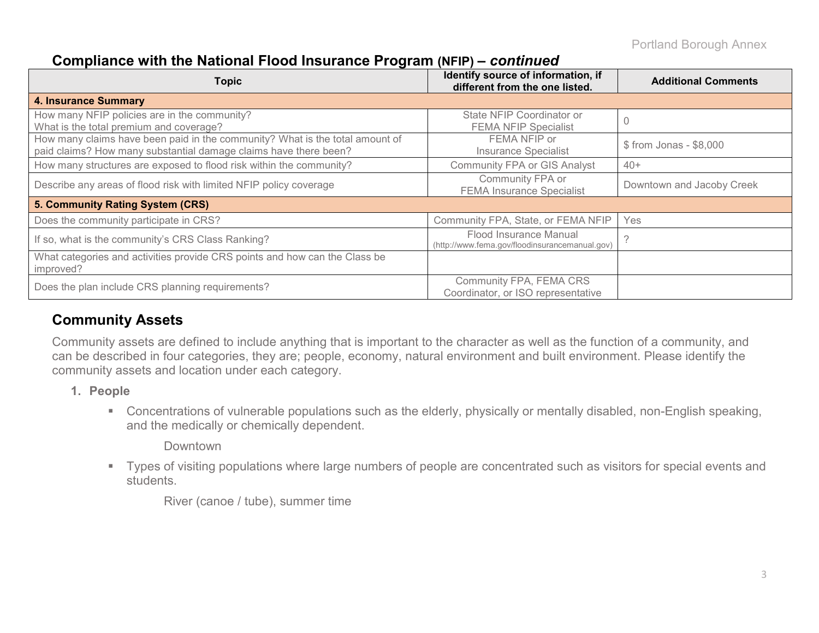### **Compliance with the National Flood Insurance Program (NFIP) –** *continued*

| <b>Topic</b>                                                                                                                                     | Identify source of information, if<br>different from the one listed.     | <b>Additional Comments</b> |
|--------------------------------------------------------------------------------------------------------------------------------------------------|--------------------------------------------------------------------------|----------------------------|
| <b>4. Insurance Summary</b>                                                                                                                      |                                                                          |                            |
| How many NFIP policies are in the community?<br>What is the total premium and coverage?                                                          | State NFIP Coordinator or<br><b>FEMA NFIP Specialist</b>                 |                            |
| How many claims have been paid in the community? What is the total amount of<br>paid claims? How many substantial damage claims have there been? | FEMA NFIP or<br><b>Insurance Specialist</b>                              | \$ from Jonas - \$8,000    |
| How many structures are exposed to flood risk within the community?                                                                              | <b>Community FPA or GIS Analyst</b>                                      | $40+$                      |
| Describe any areas of flood risk with limited NFIP policy coverage                                                                               | Community FPA or<br><b>FEMA Insurance Specialist</b>                     | Downtown and Jacoby Creek  |
| 5. Community Rating System (CRS)                                                                                                                 |                                                                          |                            |
| Does the community participate in CRS?                                                                                                           | Community FPA, State, or FEMA NFIP                                       | Yes                        |
| If so, what is the community's CRS Class Ranking?                                                                                                | Flood Insurance Manual<br>(http://www.fema.gov/floodinsurancemanual.gov) |                            |
| What categories and activities provide CRS points and how can the Class be<br>improved?                                                          |                                                                          |                            |
| Does the plan include CRS planning requirements?                                                                                                 | Community FPA, FEMA CRS<br>Coordinator, or ISO representative            |                            |

### **Community Assets**

Community assets are defined to include anything that is important to the character as well as the function of a community, and can be described in four categories, they are; people, economy, natural environment and built environment. Please identify the community assets and location under each category.

- **1. People**
	- Concentrations of vulnerable populations such as the elderly, physically or mentally disabled, non-English speaking, and the medically or chemically dependent.

Downtown

 Types of visiting populations where large numbers of people are concentrated such as visitors for special events and students.

River (canoe / tube), summer time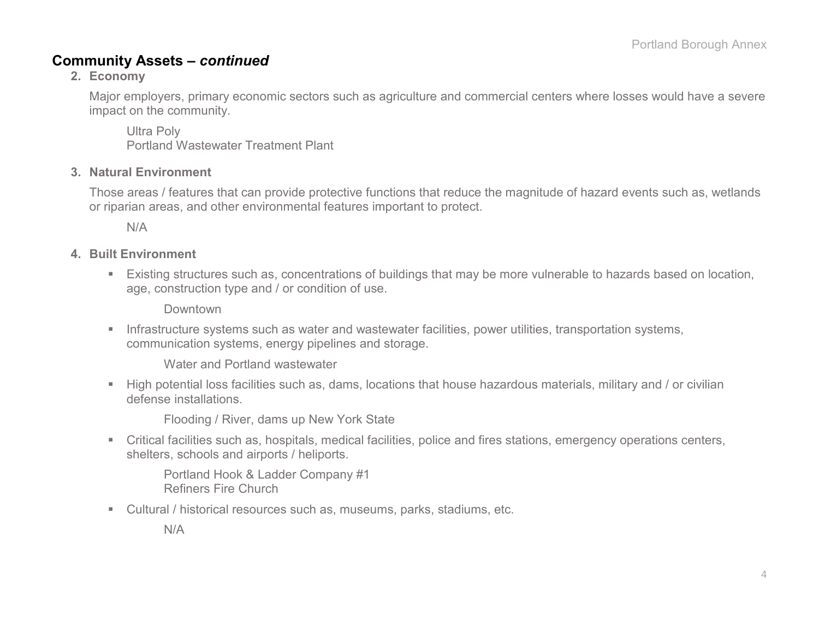### **Community Assets –** *continued*

#### **2. Economy**

Major employers, primary economic sectors such as agriculture and commercial centers where losses would have a severe impact on the community.

Ultra Poly Portland Wastewater Treatment Plant

#### **3. Natural Environment**

Those areas / features that can provide protective functions that reduce the magnitude of hazard events such as, wetlands or riparian areas, and other environmental features important to protect.

N/A

#### **4. Built Environment**

 Existing structures such as, concentrations of buildings that may be more vulnerable to hazards based on location, age, construction type and / or condition of use.

Downtown

**Infrastructure systems such as water and wastewater facilities, power utilities, transportation systems,** communication systems, energy pipelines and storage.

Water and Portland wastewater

 High potential loss facilities such as, dams, locations that house hazardous materials, military and / or civilian defense installations.

Flooding / River, dams up New York State

 Critical facilities such as, hospitals, medical facilities, police and fires stations, emergency operations centers, shelters, schools and airports / heliports.

Portland Hook & Ladder Company #1 Refiners Fire Church

Cultural / historical resources such as, museums, parks, stadiums, etc.

N/A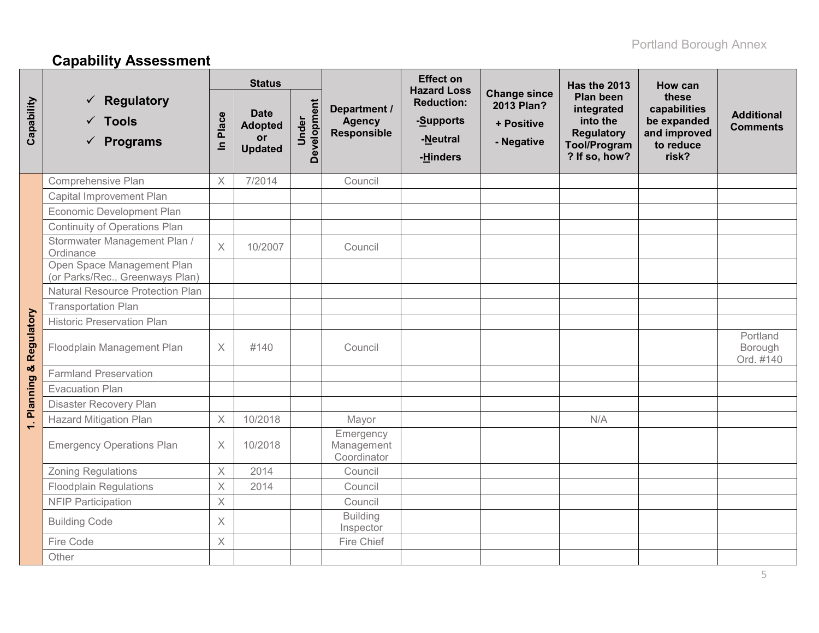# **Capability Assessment**

|            |                                                                            |                           | <b>Status</b>                                                |                      |                                              | <b>Effect on</b>                                                             |                                                               | <b>Has the 2013</b>                                                                                     | How can                                                                    |                                      |
|------------|----------------------------------------------------------------------------|---------------------------|--------------------------------------------------------------|----------------------|----------------------------------------------|------------------------------------------------------------------------------|---------------------------------------------------------------|---------------------------------------------------------------------------------------------------------|----------------------------------------------------------------------------|--------------------------------------|
| Capability | <b>Regulatory</b><br>$\checkmark$ Tools<br><b>Programs</b><br>$\checkmark$ | Place<br>$\equiv$         | <b>Date</b><br><b>Adopted</b><br><b>or</b><br><b>Updated</b> | Development<br>Under | Department /<br><b>Agency</b><br>Responsible | <b>Hazard Loss</b><br><b>Reduction:</b><br>-Supports<br>-Neutral<br>-Hinders | <b>Change since</b><br>2013 Plan?<br>+ Positive<br>- Negative | <b>Plan been</b><br>integrated<br>into the<br><b>Regulatory</b><br><b>Tool/Program</b><br>? If so, how? | these<br>capabilities<br>be expanded<br>and improved<br>to reduce<br>risk? | <b>Additional</b><br><b>Comments</b> |
|            | Comprehensive Plan                                                         | $\times$                  | 7/2014                                                       |                      | Council                                      |                                                                              |                                                               |                                                                                                         |                                                                            |                                      |
|            | Capital Improvement Plan                                                   |                           |                                                              |                      |                                              |                                                                              |                                                               |                                                                                                         |                                                                            |                                      |
|            | Economic Development Plan                                                  |                           |                                                              |                      |                                              |                                                                              |                                                               |                                                                                                         |                                                                            |                                      |
|            | <b>Continuity of Operations Plan</b>                                       |                           |                                                              |                      |                                              |                                                                              |                                                               |                                                                                                         |                                                                            |                                      |
|            | Stormwater Management Plan /<br>Ordinance                                  | $\times$                  | 10/2007                                                      |                      | Council                                      |                                                                              |                                                               |                                                                                                         |                                                                            |                                      |
|            | Open Space Management Plan<br>(or Parks/Rec., Greenways Plan)              |                           |                                                              |                      |                                              |                                                                              |                                                               |                                                                                                         |                                                                            |                                      |
|            | <b>Natural Resource Protection Plan</b>                                    |                           |                                                              |                      |                                              |                                                                              |                                                               |                                                                                                         |                                                                            |                                      |
|            | <b>Transportation Plan</b>                                                 |                           |                                                              |                      |                                              |                                                                              |                                                               |                                                                                                         |                                                                            |                                      |
|            | <b>Historic Preservation Plan</b>                                          |                           |                                                              |                      |                                              |                                                                              |                                                               |                                                                                                         |                                                                            |                                      |
| Regulatory | Floodplain Management Plan                                                 | $\times$                  | #140                                                         |                      | Council                                      |                                                                              |                                                               |                                                                                                         |                                                                            | Portland<br>Borough<br>Ord. #140     |
| Planning & | <b>Farmland Preservation</b>                                               |                           |                                                              |                      |                                              |                                                                              |                                                               |                                                                                                         |                                                                            |                                      |
|            | <b>Evacuation Plan</b>                                                     |                           |                                                              |                      |                                              |                                                                              |                                                               |                                                                                                         |                                                                            |                                      |
|            | Disaster Recovery Plan                                                     |                           |                                                              |                      |                                              |                                                                              |                                                               |                                                                                                         |                                                                            |                                      |
| $\div$     | <b>Hazard Mitigation Plan</b>                                              | $\times$                  | 10/2018                                                      |                      | Mayor                                        |                                                                              |                                                               | N/A                                                                                                     |                                                                            |                                      |
|            | <b>Emergency Operations Plan</b>                                           | $\times$                  | 10/2018                                                      |                      | Emergency<br>Management<br>Coordinator       |                                                                              |                                                               |                                                                                                         |                                                                            |                                      |
|            | <b>Zoning Regulations</b>                                                  | $\times$                  | 2014                                                         |                      | Council                                      |                                                                              |                                                               |                                                                                                         |                                                                            |                                      |
|            | <b>Floodplain Regulations</b>                                              | $\boldsymbol{\mathsf{X}}$ | 2014                                                         |                      | Council                                      |                                                                              |                                                               |                                                                                                         |                                                                            |                                      |
|            | <b>NFIP Participation</b>                                                  | $\mathsf X$               |                                                              |                      | Council                                      |                                                                              |                                                               |                                                                                                         |                                                                            |                                      |
|            | <b>Building Code</b>                                                       | $\times$                  |                                                              |                      | <b>Building</b><br>Inspector                 |                                                                              |                                                               |                                                                                                         |                                                                            |                                      |
|            | Fire Code                                                                  | $\times$                  |                                                              |                      | Fire Chief                                   |                                                                              |                                                               |                                                                                                         |                                                                            |                                      |
|            | Other                                                                      |                           |                                                              |                      |                                              |                                                                              |                                                               |                                                                                                         |                                                                            |                                      |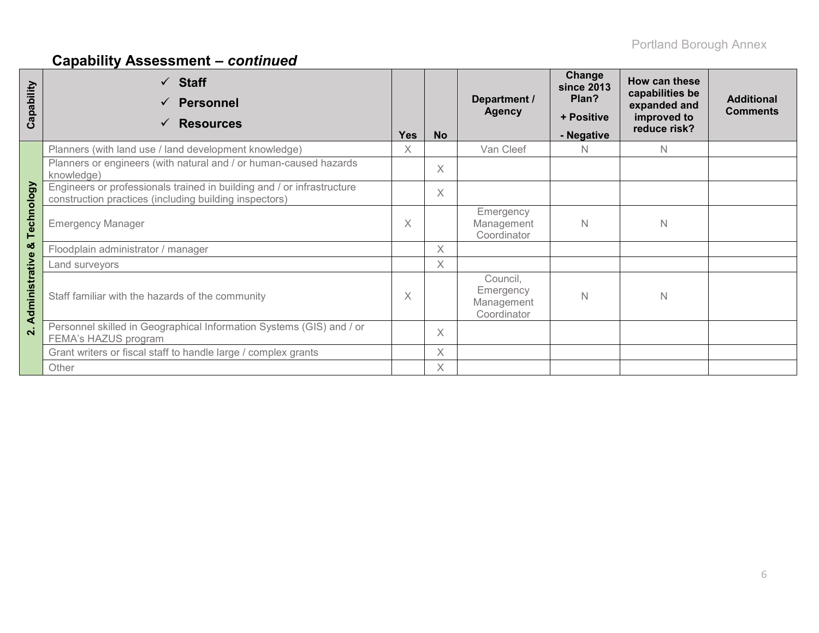# **Capability Assessment –** *continued*

| Capability         | $\checkmark$ Staff<br><b>Personnel</b><br><b>Resources</b>                                                                       | <b>Yes</b> | <b>No</b> | Department /<br><b>Agency</b>                      | Change<br><b>since 2013</b><br>Plan?<br>+ Positive<br>- Negative | How can these<br>capabilities be<br>expanded and<br>improved to<br>reduce risk? | <b>Additional</b><br><b>Comments</b> |
|--------------------|----------------------------------------------------------------------------------------------------------------------------------|------------|-----------|----------------------------------------------------|------------------------------------------------------------------|---------------------------------------------------------------------------------|--------------------------------------|
|                    | Planners (with land use / land development knowledge)                                                                            | Χ          |           | Van Cleef                                          | N.                                                               | N                                                                               |                                      |
|                    | Planners or engineers (with natural and / or human-caused hazards<br>knowledge)                                                  |            | $\times$  |                                                    |                                                                  |                                                                                 |                                      |
|                    | Engineers or professionals trained in building and / or infrastructure<br>construction practices (including building inspectors) |            | $\times$  |                                                    |                                                                  |                                                                                 |                                      |
| Technology         | <b>Emergency Manager</b>                                                                                                         | Χ          |           | Emergency<br>Management<br>Coordinator             | N                                                                | N                                                                               |                                      |
| ఱ                  | Floodplain administrator / manager                                                                                               |            | $\times$  |                                                    |                                                                  |                                                                                 |                                      |
|                    | Land surveyors                                                                                                                   |            | $\times$  |                                                    |                                                                  |                                                                                 |                                      |
| Administrative     | Staff familiar with the hazards of the community                                                                                 | $\times$   |           | Council,<br>Emergency<br>Management<br>Coordinator | N                                                                | N                                                                               |                                      |
| $\dot{\mathbf{v}}$ | Personnel skilled in Geographical Information Systems (GIS) and / or<br>FEMA's HAZUS program                                     |            | $\times$  |                                                    |                                                                  |                                                                                 |                                      |
|                    | Grant writers or fiscal staff to handle large / complex grants                                                                   |            | Χ         |                                                    |                                                                  |                                                                                 |                                      |
|                    | Other                                                                                                                            |            | X         |                                                    |                                                                  |                                                                                 |                                      |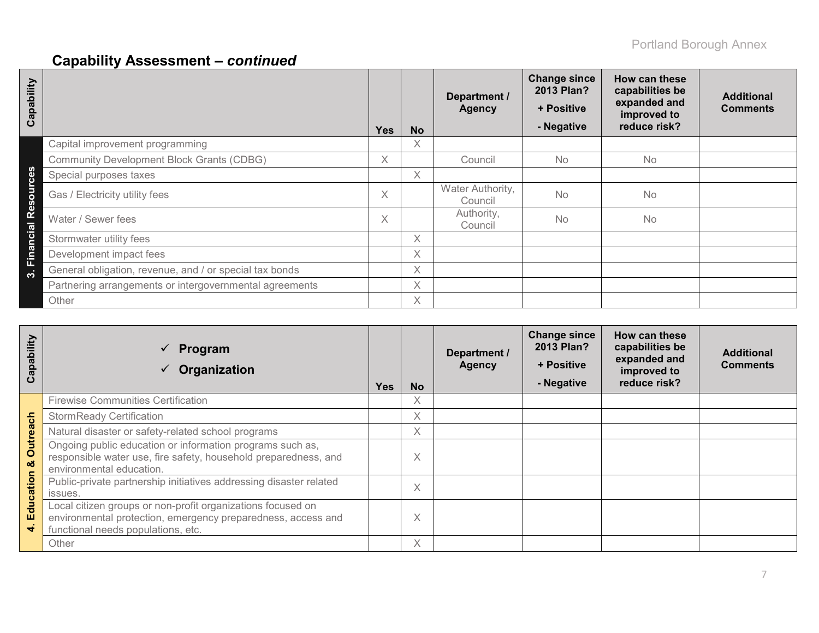# **Capability Assessment –** *continued*

| Capability                                    |                                                         | <b>Yes</b> | <b>No</b> | Department /<br><b>Agency</b> | <b>Change since</b><br>2013 Plan?<br>+ Positive<br>- Negative | How can these<br>capabilities be<br>expanded and<br>improved to<br>reduce risk? | <b>Additional</b><br><b>Comments</b> |
|-----------------------------------------------|---------------------------------------------------------|------------|-----------|-------------------------------|---------------------------------------------------------------|---------------------------------------------------------------------------------|--------------------------------------|
|                                               | Capital improvement programming                         |            | X         |                               |                                                               |                                                                                 |                                      |
|                                               | <b>Community Development Block Grants (CDBG)</b>        | $\times$   |           | Council                       | <b>No</b>                                                     | <b>No</b>                                                                       |                                      |
| <b>S</b><br>$\ddot{\mathbf{a}}$<br>$\epsilon$ | Special purposes taxes                                  |            | X         |                               |                                                               |                                                                                 |                                      |
| $\overline{5}$<br>8                           | Gas / Electricity utility fees                          | $\times$   |           | Water Authority,<br>Council   | <b>No</b>                                                     | <b>No</b>                                                                       |                                      |
| œ<br>$\overline{\sigma}$                      | Water / Sewer fees                                      | X.         |           | Authority,<br>Council         | No                                                            | <b>No</b>                                                                       |                                      |
| "ō                                            | Stormwater utility fees                                 |            | X         |                               |                                                               |                                                                                 |                                      |
| $\boldsymbol{\varpi}$<br>Ēir                  | Development impact fees                                 |            | Χ         |                               |                                                               |                                                                                 |                                      |
| က်                                            | General obligation, revenue, and / or special tax bonds |            | X         |                               |                                                               |                                                                                 |                                      |
|                                               | Partnering arrangements or intergovernmental agreements |            | X         |                               |                                                               |                                                                                 |                                      |
|                                               | Other                                                   |            | X         |                               |                                                               |                                                                                 |                                      |

| bility<br>$\overline{\sigma}$<br>$\ddot{\mathbf{O}}$<br>ပိ | $\checkmark$ Program<br>Organization                                                                                                                              | <b>Yes</b> | <b>No</b> | Department /<br><b>Agency</b> | <b>Change since</b><br>2013 Plan?<br>+ Positive<br>- Negative | How can these<br>capabilities be<br>expanded and<br>improved to<br>reduce risk? | <b>Additional</b><br><b>Comments</b> |
|------------------------------------------------------------|-------------------------------------------------------------------------------------------------------------------------------------------------------------------|------------|-----------|-------------------------------|---------------------------------------------------------------|---------------------------------------------------------------------------------|--------------------------------------|
|                                                            | <b>Firewise Communities Certification</b>                                                                                                                         |            | X         |                               |                                                               |                                                                                 |                                      |
| 동                                                          | <b>StormReady Certification</b>                                                                                                                                   |            | $\times$  |                               |                                                               |                                                                                 |                                      |
|                                                            | Natural disaster or safety-related school programs                                                                                                                |            | $\chi$    |                               |                                                               |                                                                                 |                                      |
| <b>Outrea</b><br>οö                                        | Ongoing public education or information programs such as,<br>responsible water use, fire safety, household preparedness, and<br>environmental education.          |            | Χ         |                               |                                                               |                                                                                 |                                      |
| Education                                                  | Public-private partnership initiatives addressing disaster related<br>issues.                                                                                     |            | X         |                               |                                                               |                                                                                 |                                      |
| $\blacktriangledown$                                       | Local citizen groups or non-profit organizations focused on<br>environmental protection, emergency preparedness, access and<br>functional needs populations, etc. |            | X         |                               |                                                               |                                                                                 |                                      |
|                                                            | Other                                                                                                                                                             |            | Χ         |                               |                                                               |                                                                                 |                                      |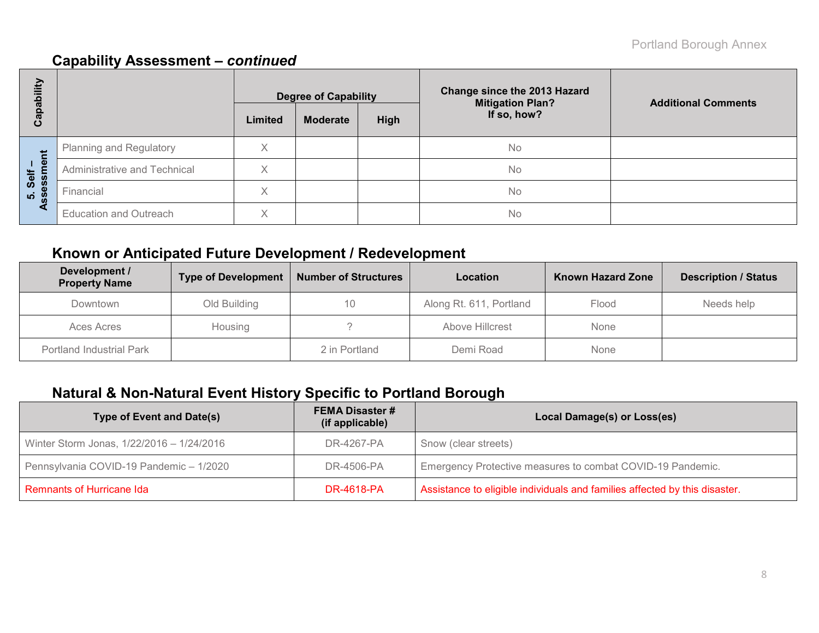### **Capability Assessment –** *continued*

| E<br>هَ           |                                |                   | <b>Degree of Capability</b> |      | <b>Change since the 2013 Hazard</b><br><b>Mitigation Plan?</b> | <b>Additional Comments</b> |  |
|-------------------|--------------------------------|-------------------|-----------------------------|------|----------------------------------------------------------------|----------------------------|--|
| <u>թզ</u><br>ပိ   |                                | Limited           | <b>Moderate</b>             | High | If so, how?                                                    |                            |  |
|                   | <b>Planning and Regulatory</b> | X                 |                             |      | <b>No</b>                                                      |                            |  |
| Self –<br>essment | Administrative and Technical   | $\checkmark$<br>∧ |                             |      | <b>No</b>                                                      |                            |  |
| <u>ທີ່ 8</u>      | Financial                      | ∧                 |                             |      | No                                                             |                            |  |
| ₫                 | <b>Education and Outreach</b>  | X                 |                             |      | <b>No</b>                                                      |                            |  |

### **Known or Anticipated Future Development / Redevelopment**

| Development /<br><b>Property Name</b> | <b>Type of Development</b> | <b>Number of Structures</b> | <b>Location</b>         | <b>Known Hazard Zone</b> | <b>Description / Status</b> |
|---------------------------------------|----------------------------|-----------------------------|-------------------------|--------------------------|-----------------------------|
| Downtown                              | Old Building               | 10                          | Along Rt. 611, Portland | Flood                    | Needs help                  |
| Aces Acres                            | Housing                    |                             | Above Hillcrest         | None                     |                             |
| Portland Industrial Park              |                            | 2 in Portland               | Demi Road               | None                     |                             |

## **Natural & Non-Natural Event History Specific to Portland Borough**

| Type of Event and Date(s)                 | <b>FEMA Disaster #</b><br>(if applicable) | Local Damage(s) or Loss(es)                                                |
|-------------------------------------------|-------------------------------------------|----------------------------------------------------------------------------|
| Winter Storm Jonas, 1/22/2016 - 1/24/2016 | DR-4267-PA                                | Snow (clear streets)                                                       |
| Pennsylvania COVID-19 Pandemic - 1/2020   | DR-4506-PA                                | Emergency Protective measures to combat COVID-19 Pandemic.                 |
| Remnants of Hurricane Ida                 | DR-4618-PA                                | Assistance to eligible individuals and families affected by this disaster. |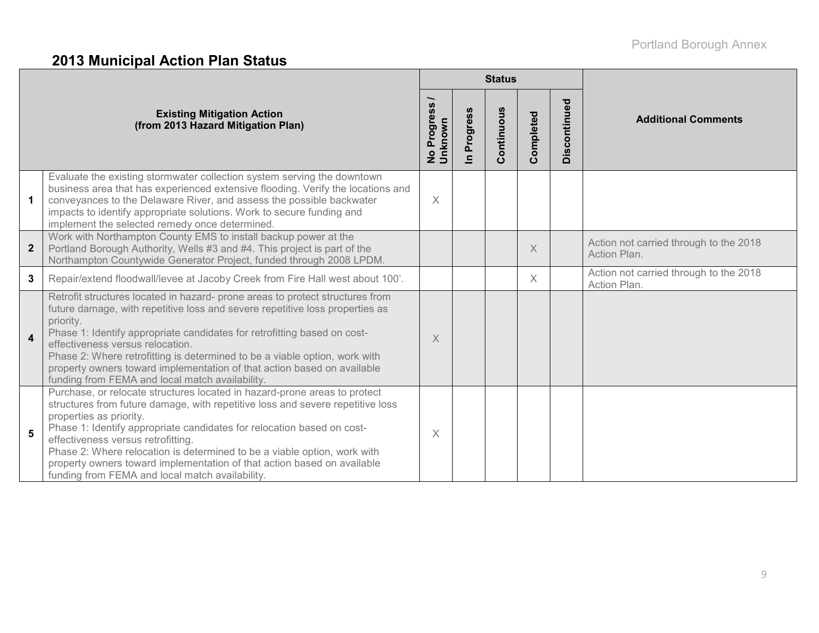# **2013 Municipal Action Plan Status**

|                                                                         |                                                                                                                                                                                                                                                                                                                                                                                                                                                                                                                  |                         |                      | <b>Status</b> |           |              |                                                        |
|-------------------------------------------------------------------------|------------------------------------------------------------------------------------------------------------------------------------------------------------------------------------------------------------------------------------------------------------------------------------------------------------------------------------------------------------------------------------------------------------------------------------------------------------------------------------------------------------------|-------------------------|----------------------|---------------|-----------|--------------|--------------------------------------------------------|
| <b>Existing Mitigation Action</b><br>(from 2013 Hazard Mitigation Plan) |                                                                                                                                                                                                                                                                                                                                                                                                                                                                                                                  |                         | Progress<br>$\equiv$ | Continuous    | Completed | Discontinued | <b>Additional Comments</b>                             |
| 1                                                                       | Evaluate the existing stormwater collection system serving the downtown<br>business area that has experienced extensive flooding. Verify the locations and<br>conveyances to the Delaware River, and assess the possible backwater<br>impacts to identify appropriate solutions. Work to secure funding and<br>implement the selected remedy once determined.                                                                                                                                                    | $\times$                |                      |               |           |              |                                                        |
| $\mathbf{2}$                                                            | Work with Northampton County EMS to install backup power at the<br>Portland Borough Authority, Wells #3 and #4. This project is part of the<br>Northampton Countywide Generator Project, funded through 2008 LPDM.                                                                                                                                                                                                                                                                                               |                         |                      |               | $\times$  |              | Action not carried through to the 2018<br>Action Plan. |
| 3                                                                       | Repair/extend floodwall/levee at Jacoby Creek from Fire Hall west about 100'.                                                                                                                                                                                                                                                                                                                                                                                                                                    |                         |                      |               | $\times$  |              | Action not carried through to the 2018<br>Action Plan. |
| $\overline{\mathbf{4}}$                                                 | Retrofit structures located in hazard- prone areas to protect structures from<br>future damage, with repetitive loss and severe repetitive loss properties as<br>priority.<br>Phase 1: Identify appropriate candidates for retrofitting based on cost-<br>effectiveness versus relocation.<br>Phase 2: Where retrofitting is determined to be a viable option, work with<br>property owners toward implementation of that action based on available<br>funding from FEMA and local match availability.           | $\times$                |                      |               |           |              |                                                        |
| 5                                                                       | Purchase, or relocate structures located in hazard-prone areas to protect<br>structures from future damage, with repetitive loss and severe repetitive loss<br>properties as priority.<br>Phase 1: Identify appropriate candidates for relocation based on cost-<br>effectiveness versus retrofitting.<br>Phase 2: Where relocation is determined to be a viable option, work with<br>property owners toward implementation of that action based on available<br>funding from FEMA and local match availability. | $\overline{\mathsf{X}}$ |                      |               |           |              |                                                        |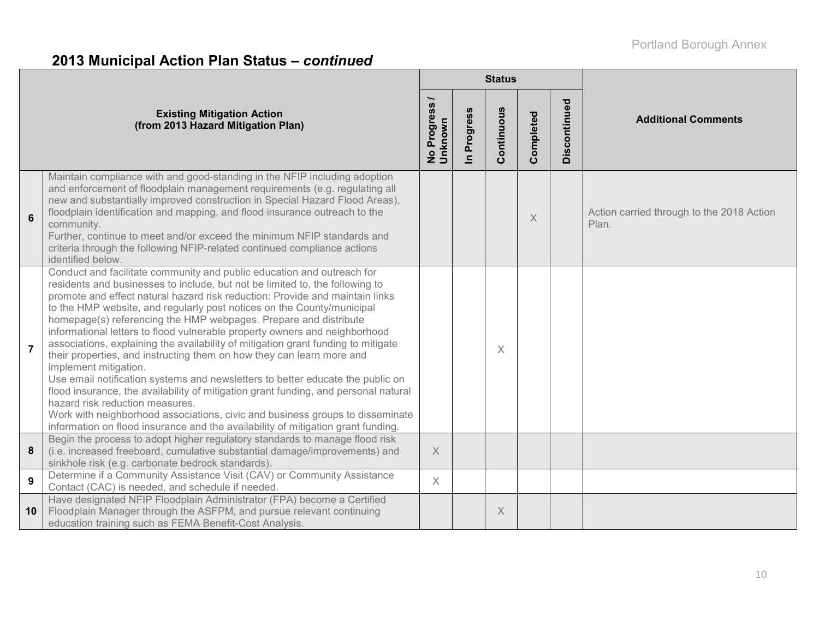# **2013 Municipal Action Plan Status –** *continued*

|                                                                         |                                                                                                                                                                                                                                                                                                                                                                                                                                                                                                                                                                                                                                                                                                                                                                                                                                                                                                                                                                                                                                            |          |                      | <b>Status</b> |           |              |                                                    |
|-------------------------------------------------------------------------|--------------------------------------------------------------------------------------------------------------------------------------------------------------------------------------------------------------------------------------------------------------------------------------------------------------------------------------------------------------------------------------------------------------------------------------------------------------------------------------------------------------------------------------------------------------------------------------------------------------------------------------------------------------------------------------------------------------------------------------------------------------------------------------------------------------------------------------------------------------------------------------------------------------------------------------------------------------------------------------------------------------------------------------------|----------|----------------------|---------------|-----------|--------------|----------------------------------------------------|
| <b>Existing Mitigation Action</b><br>(from 2013 Hazard Mitigation Plan) |                                                                                                                                                                                                                                                                                                                                                                                                                                                                                                                                                                                                                                                                                                                                                                                                                                                                                                                                                                                                                                            |          | Progress<br>$\equiv$ | Continuous    | Completed | Discontinued | <b>Additional Comments</b>                         |
| $6\phantom{1}$                                                          | Maintain compliance with and good-standing in the NFIP including adoption<br>and enforcement of floodplain management requirements (e.g. regulating all<br>new and substantially improved construction in Special Hazard Flood Areas),<br>floodplain identification and mapping, and flood insurance outreach to the<br>community.<br>Further, continue to meet and/or exceed the minimum NFIP standards and<br>criteria through the following NFIP-related continued compliance actions<br>identified below.                                                                                                                                                                                                                                                                                                                                                                                                                                                                                                                              |          |                      |               | $\times$  |              | Action carried through to the 2018 Action<br>Plan. |
| $\overline{7}$                                                          | Conduct and facilitate community and public education and outreach for<br>residents and businesses to include, but not be limited to, the following to<br>promote and effect natural hazard risk reduction: Provide and maintain links<br>to the HMP website, and regularly post notices on the County/municipal<br>homepage(s) referencing the HMP webpages. Prepare and distribute<br>informational letters to flood vulnerable property owners and neighborhood<br>associations, explaining the availability of mitigation grant funding to mitigate<br>their properties, and instructing them on how they can learn more and<br>implement mitigation.<br>Use email notification systems and newsletters to better educate the public on<br>flood insurance, the availability of mitigation grant funding, and personal natural<br>hazard risk reduction measures.<br>Work with neighborhood associations, civic and business groups to disseminate<br>information on flood insurance and the availability of mitigation grant funding. |          |                      | X             |           |              |                                                    |
| 8                                                                       | Begin the process to adopt higher regulatory standards to manage flood risk<br>(i.e. increased freeboard, cumulative substantial damage/improvements) and<br>sinkhole risk (e.g. carbonate bedrock standards)                                                                                                                                                                                                                                                                                                                                                                                                                                                                                                                                                                                                                                                                                                                                                                                                                              | X        |                      |               |           |              |                                                    |
| 9                                                                       | Determine if a Community Assistance Visit (CAV) or Community Assistance<br>Contact (CAC) is needed, and schedule if needed.                                                                                                                                                                                                                                                                                                                                                                                                                                                                                                                                                                                                                                                                                                                                                                                                                                                                                                                | $\times$ |                      |               |           |              |                                                    |
| 10                                                                      | Have designated NFIP Floodplain Administrator (FPA) become a Certified<br>Floodplain Manager through the ASFPM, and pursue relevant continuing<br>education training such as FEMA Benefit-Cost Analysis.                                                                                                                                                                                                                                                                                                                                                                                                                                                                                                                                                                                                                                                                                                                                                                                                                                   |          |                      | X             |           |              |                                                    |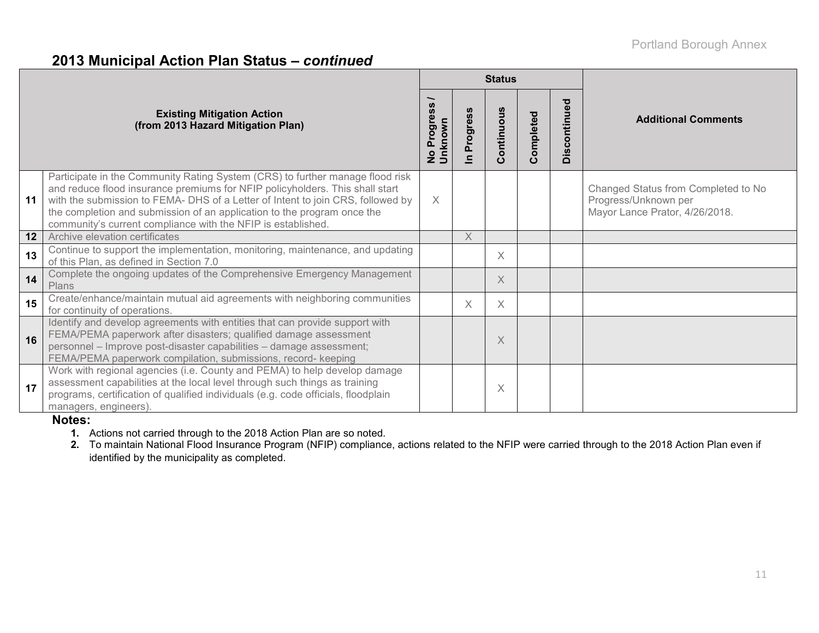#### **2013 Municipal Action Plan Status –** *continued*

|    |                                                                                                                                                                                                                                                                                                                                                                                             |                        |                               | <b>Status</b> |           |              |                                                                                               |
|----|---------------------------------------------------------------------------------------------------------------------------------------------------------------------------------------------------------------------------------------------------------------------------------------------------------------------------------------------------------------------------------------------|------------------------|-------------------------------|---------------|-----------|--------------|-----------------------------------------------------------------------------------------------|
|    | <b>Existing Mitigation Action</b><br>(from 2013 Hazard Mitigation Plan)                                                                                                                                                                                                                                                                                                                     | No Progress<br>Unknown | ທ<br>Progress<br>$\mathbf{a}$ | Continuous    | Completed | Discontinued | <b>Additional Comments</b>                                                                    |
| 11 | Participate in the Community Rating System (CRS) to further manage flood risk<br>and reduce flood insurance premiums for NFIP policyholders. This shall start<br>with the submission to FEMA- DHS of a Letter of Intent to join CRS, followed by<br>the completion and submission of an application to the program once the<br>community's current compliance with the NFIP is established. | $\times$               |                               |               |           |              | Changed Status from Completed to No<br>Progress/Unknown per<br>Mayor Lance Prator, 4/26/2018. |
| 12 | Archive elevation certificates                                                                                                                                                                                                                                                                                                                                                              |                        | X                             |               |           |              |                                                                                               |
| 13 | Continue to support the implementation, monitoring, maintenance, and updating<br>of this Plan, as defined in Section 7.0                                                                                                                                                                                                                                                                    |                        |                               | $\times$      |           |              |                                                                                               |
| 14 | Complete the ongoing updates of the Comprehensive Emergency Management<br>Plans                                                                                                                                                                                                                                                                                                             |                        |                               | X             |           |              |                                                                                               |
| 15 | Create/enhance/maintain mutual aid agreements with neighboring communities<br>for continuity of operations.                                                                                                                                                                                                                                                                                 |                        | X                             | $\times$      |           |              |                                                                                               |
| 16 | Identify and develop agreements with entities that can provide support with<br>FEMA/PEMA paperwork after disasters; qualified damage assessment<br>personnel - Improve post-disaster capabilities - damage assessment;<br>FEMA/PEMA paperwork compilation, submissions, record- keeping                                                                                                     |                        |                               | X             |           |              |                                                                                               |
| 17 | Work with regional agencies (i.e. County and PEMA) to help develop damage<br>assessment capabilities at the local level through such things as training<br>programs, certification of qualified individuals (e.g. code officials, floodplain<br>managers, engineers).                                                                                                                       |                        |                               | $\times$      |           |              |                                                                                               |

#### **Notes:**

**1.** Actions not carried through to the 2018 Action Plan are so noted.

**2.** To maintain National Flood Insurance Program (NFIP) compliance, actions related to the NFIP were carried through to the 2018 Action Plan even if identified by the municipality as completed.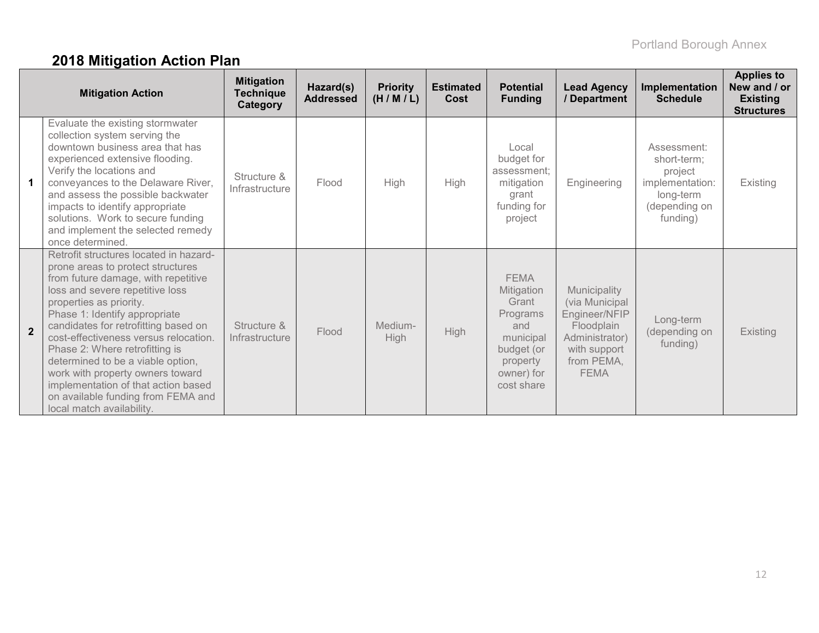# **2018 Mitigation Action Plan**

|                | <b>Mitigation Action</b>                                                                                                                                                                                                                                                                                                                                                                                                                                                                                                | <b>Mitigation</b><br><b>Technique</b><br>Category | Hazard(s)<br><b>Addressed</b> | <b>Priority</b><br>(H/M/L) | <b>Estimated</b><br>Cost | <b>Potential</b><br><b>Funding</b>                                                                                       | <b>Lead Agency</b><br>/ Department                                                                                           | Implementation<br><b>Schedule</b>                                                                  | <b>Applies to</b><br>New and / or<br><b>Existing</b><br><b>Structures</b> |
|----------------|-------------------------------------------------------------------------------------------------------------------------------------------------------------------------------------------------------------------------------------------------------------------------------------------------------------------------------------------------------------------------------------------------------------------------------------------------------------------------------------------------------------------------|---------------------------------------------------|-------------------------------|----------------------------|--------------------------|--------------------------------------------------------------------------------------------------------------------------|------------------------------------------------------------------------------------------------------------------------------|----------------------------------------------------------------------------------------------------|---------------------------------------------------------------------------|
|                | Evaluate the existing stormwater<br>collection system serving the<br>downtown business area that has<br>experienced extensive flooding.<br>Verify the locations and<br>conveyances to the Delaware River,<br>and assess the possible backwater<br>impacts to identify appropriate<br>solutions. Work to secure funding<br>and implement the selected remedy<br>once determined.                                                                                                                                         | Structure &<br>Infrastructure                     | Flood                         | High                       | High                     | Local<br>budget for<br>assessment:<br>mitigation<br>grant<br>funding for<br>project                                      | Engineering                                                                                                                  | Assessment:<br>short-term;<br>project<br>implementation:<br>long-term<br>(depending on<br>funding) | Existing                                                                  |
| $\overline{2}$ | Retrofit structures located in hazard-<br>prone areas to protect structures<br>from future damage, with repetitive<br>loss and severe repetitive loss<br>properties as priority.<br>Phase 1: Identify appropriate<br>candidates for retrofitting based on<br>cost-effectiveness versus relocation.<br>Phase 2: Where retrofitting is<br>determined to be a viable option,<br>work with property owners toward<br>implementation of that action based<br>on available funding from FEMA and<br>local match availability. | Structure &<br>Infrastructure                     | Flood                         | Medium-<br><b>High</b>     | <b>High</b>              | <b>FEMA</b><br>Mitigation<br>Grant<br>Programs<br>and<br>municipal<br>budget (or<br>property<br>owner) for<br>cost share | Municipality<br>(via Municipal<br>Engineer/NFIP<br>Floodplain<br>Administrator)<br>with support<br>from PEMA,<br><b>FEMA</b> | Long-term<br>(depending on<br>funding)                                                             | Existing                                                                  |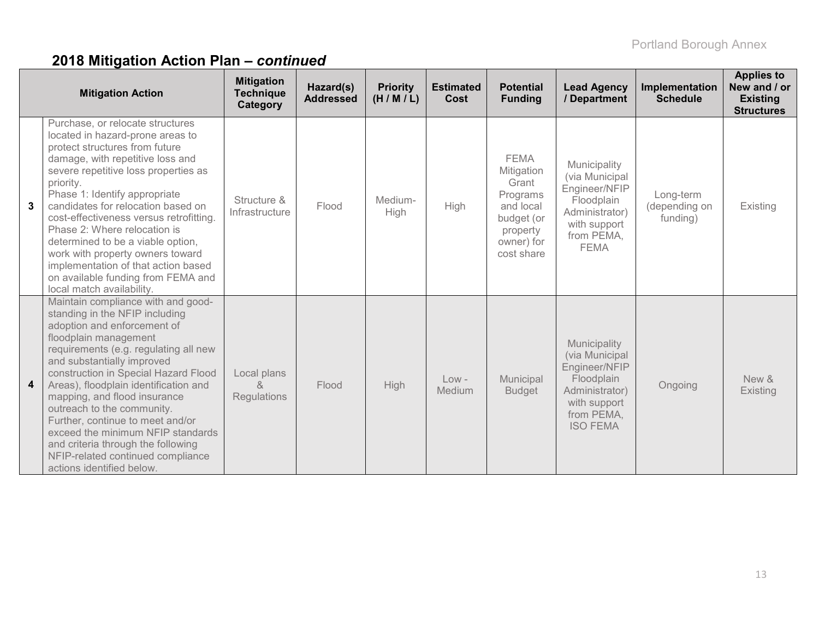|                         | <b>Mitigation Action</b>                                                                                                                                                                                                                                                                                                                                                                                                                                                                                                             | <b>Mitigation</b><br><b>Technique</b><br>Category | Hazard(s)<br><b>Addressed</b> | <b>Priority</b><br>(H/M/L) | <b>Estimated</b><br>Cost | <b>Potential</b><br><b>Funding</b>                                                                                | <b>Lead Agency</b><br>/ Department                                                                                               | Implementation<br><b>Schedule</b>      | <b>Applies to</b><br>New and / or<br><b>Existing</b><br><b>Structures</b> |
|-------------------------|--------------------------------------------------------------------------------------------------------------------------------------------------------------------------------------------------------------------------------------------------------------------------------------------------------------------------------------------------------------------------------------------------------------------------------------------------------------------------------------------------------------------------------------|---------------------------------------------------|-------------------------------|----------------------------|--------------------------|-------------------------------------------------------------------------------------------------------------------|----------------------------------------------------------------------------------------------------------------------------------|----------------------------------------|---------------------------------------------------------------------------|
| 3                       | Purchase, or relocate structures<br>located in hazard-prone areas to<br>protect structures from future<br>damage, with repetitive loss and<br>severe repetitive loss properties as<br>priority.<br>Phase 1: Identify appropriate<br>candidates for relocation based on<br>cost-effectiveness versus retrofitting.<br>Phase 2: Where relocation is<br>determined to be a viable option,<br>work with property owners toward<br>implementation of that action based<br>on available funding from FEMA and<br>local match availability. | Structure &<br>Infrastructure                     | Flood                         | Medium-<br>High            | High                     | <b>FEMA</b><br>Mitigation<br>Grant<br>Programs<br>and local<br>budget (or<br>property<br>owner) for<br>cost share | Municipality<br>(via Municipal<br>Engineer/NFIP<br>Floodplain<br>Administrator)<br>with support<br>from PEMA,<br><b>FEMA</b>     | Long-term<br>(depending on<br>funding) | Existing                                                                  |
| $\overline{\mathbf{4}}$ | Maintain compliance with and good-<br>standing in the NFIP including<br>adoption and enforcement of<br>floodplain management<br>requirements (e.g. regulating all new<br>and substantially improved<br>construction in Special Hazard Flood<br>Areas), floodplain identification and<br>mapping, and flood insurance<br>outreach to the community.<br>Further, continue to meet and/or<br>exceed the minimum NFIP standards<br>and criteria through the following<br>NFIP-related continued compliance<br>actions identified below.  | Local plans<br><sub>R</sub><br><b>Regulations</b> | Flood                         | High                       | $Low -$<br>Medium        | Municipal<br><b>Budget</b>                                                                                        | Municipality<br>(via Municipal<br>Engineer/NFIP<br>Floodplain<br>Administrator)<br>with support<br>from PEMA,<br><b>ISO FEMA</b> | Ongoing                                | New &<br>Existing                                                         |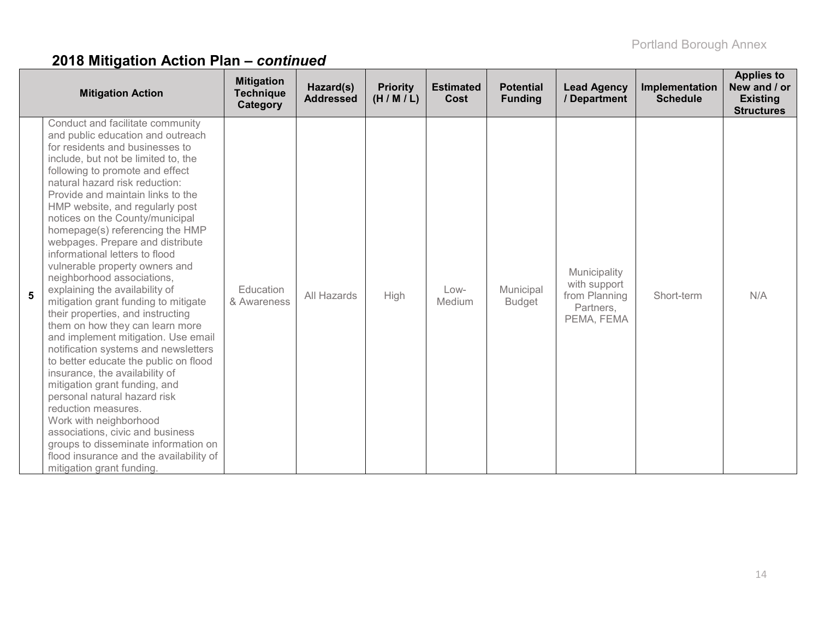|   | <b>Mitigation Action</b>                                                                                                                                                                                                                                                                                                                                                                                                                                                                                                                                                                                                                                                                                                                                                                                                                                                                                                                                                                                                                                                                   | <b>Mitigation</b><br><b>Technique</b><br>Category | Hazard(s)<br><b>Addressed</b> | <b>Priority</b><br>(H/M/L) | <b>Estimated</b><br>Cost | <b>Potential</b><br><b>Funding</b> | <b>Lead Agency</b><br>/ Department                                       | Implementation<br><b>Schedule</b> | <b>Applies to</b><br>New and / or<br><b>Existing</b><br><b>Structures</b> |
|---|--------------------------------------------------------------------------------------------------------------------------------------------------------------------------------------------------------------------------------------------------------------------------------------------------------------------------------------------------------------------------------------------------------------------------------------------------------------------------------------------------------------------------------------------------------------------------------------------------------------------------------------------------------------------------------------------------------------------------------------------------------------------------------------------------------------------------------------------------------------------------------------------------------------------------------------------------------------------------------------------------------------------------------------------------------------------------------------------|---------------------------------------------------|-------------------------------|----------------------------|--------------------------|------------------------------------|--------------------------------------------------------------------------|-----------------------------------|---------------------------------------------------------------------------|
| 5 | Conduct and facilitate community<br>and public education and outreach<br>for residents and businesses to<br>include, but not be limited to, the<br>following to promote and effect<br>natural hazard risk reduction:<br>Provide and maintain links to the<br>HMP website, and regularly post<br>notices on the County/municipal<br>homepage(s) referencing the HMP<br>webpages. Prepare and distribute<br>informational letters to flood<br>vulnerable property owners and<br>neighborhood associations,<br>explaining the availability of<br>mitigation grant funding to mitigate<br>their properties, and instructing<br>them on how they can learn more<br>and implement mitigation. Use email<br>notification systems and newsletters<br>to better educate the public on flood<br>insurance, the availability of<br>mitigation grant funding, and<br>personal natural hazard risk<br>reduction measures.<br>Work with neighborhood<br>associations, civic and business<br>groups to disseminate information on<br>flood insurance and the availability of<br>mitigation grant funding. | Education<br>& Awareness                          | All Hazards                   | High                       | Low-<br>Medium           | Municipal<br><b>Budget</b>         | Municipality<br>with support<br>from Planning<br>Partners,<br>PEMA, FEMA | Short-term                        | N/A                                                                       |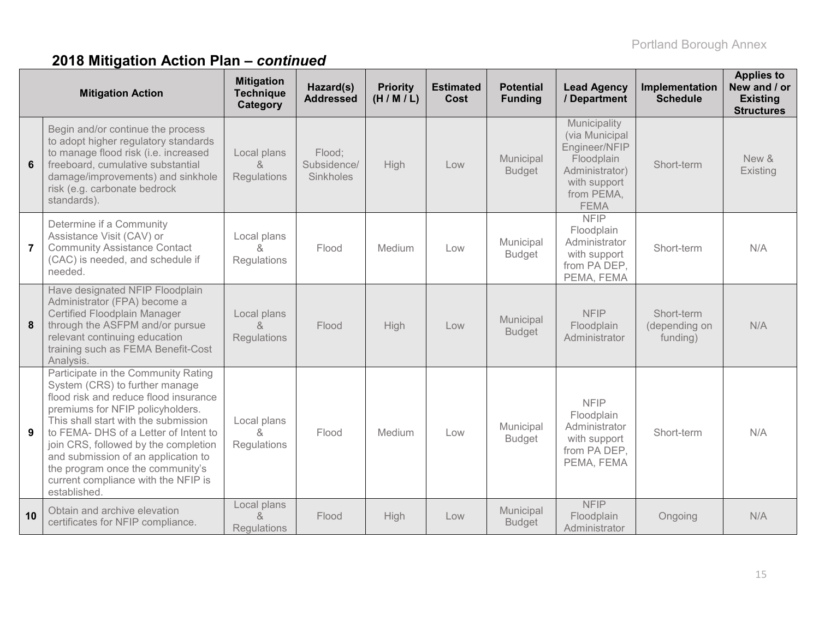|                | <b>Mitigation Action</b>                                                                                                                                                                                                                                                                                                                                                                                      | <b>Mitigation</b><br><b>Technique</b><br>Category | Hazard(s)<br><b>Addressed</b>      | <b>Priority</b><br>(H/M/L) | <b>Estimated</b><br>Cost | <b>Potential</b><br><b>Funding</b> | <b>Lead Agency</b><br>/ Department                                                                                           | Implementation<br><b>Schedule</b>       | <b>Applies to</b><br>New and / or<br><b>Existing</b><br><b>Structures</b> |
|----------------|---------------------------------------------------------------------------------------------------------------------------------------------------------------------------------------------------------------------------------------------------------------------------------------------------------------------------------------------------------------------------------------------------------------|---------------------------------------------------|------------------------------------|----------------------------|--------------------------|------------------------------------|------------------------------------------------------------------------------------------------------------------------------|-----------------------------------------|---------------------------------------------------------------------------|
| 6              | Begin and/or continue the process<br>to adopt higher regulatory standards<br>to manage flood risk (i.e. increased<br>freeboard, cumulative substantial<br>damage/improvements) and sinkhole<br>risk (e.g. carbonate bedrock<br>standards).                                                                                                                                                                    | Local plans<br>Regulations                        | Flood;<br>Subsidence/<br>Sinkholes | <b>High</b>                | Low                      | Municipal<br><b>Budget</b>         | Municipality<br>(via Municipal<br>Engineer/NFIP<br>Floodplain<br>Administrator)<br>with support<br>from PEMA,<br><b>FEMA</b> | Short-term                              | New &<br>Existing                                                         |
| $\overline{7}$ | Determine if a Community<br>Assistance Visit (CAV) or<br><b>Community Assistance Contact</b><br>(CAC) is needed, and schedule if<br>needed.                                                                                                                                                                                                                                                                   | Local plans<br>&<br>Regulations                   | Flood                              | Medium                     | Low                      | Municipal<br><b>Budget</b>         | <b>NFIP</b><br>Floodplain<br>Administrator<br>with support<br>from PA DEP,<br>PEMA, FEMA                                     | Short-term                              | N/A                                                                       |
| 8              | Have designated NFIP Floodplain<br>Administrator (FPA) become a<br>Certified Floodplain Manager<br>through the ASFPM and/or pursue<br>relevant continuing education<br>training such as FEMA Benefit-Cost<br>Analysis.                                                                                                                                                                                        | Local plans<br><b>Regulations</b>                 | Flood                              | High                       | Low                      | Municipal<br><b>Budget</b>         | <b>NFIP</b><br>Floodplain<br>Administrator                                                                                   | Short-term<br>(depending on<br>funding) | N/A                                                                       |
| 9              | Participate in the Community Rating<br>System (CRS) to further manage<br>flood risk and reduce flood insurance<br>premiums for NFIP policyholders.<br>This shall start with the submission<br>to FEMA- DHS of a Letter of Intent to<br>join CRS, followed by the completion<br>and submission of an application to<br>the program once the community's<br>current compliance with the NFIP is<br>established. | Local plans<br>&<br>Regulations                   | Flood                              | Medium                     | Low                      | Municipal<br><b>Budget</b>         | <b>NFIP</b><br>Floodplain<br>Administrator<br>with support<br>from PA DEP,<br>PEMA, FEMA                                     | Short-term                              | N/A                                                                       |
| 10             | Obtain and archive elevation<br>certificates for NFIP compliance.                                                                                                                                                                                                                                                                                                                                             | Local plans<br>$\alpha$<br><b>Regulations</b>     | Flood                              | High                       | Low                      | Municipal<br><b>Budget</b>         | <b>NFIP</b><br>Floodplain<br>Administrator                                                                                   | Ongoing                                 | N/A                                                                       |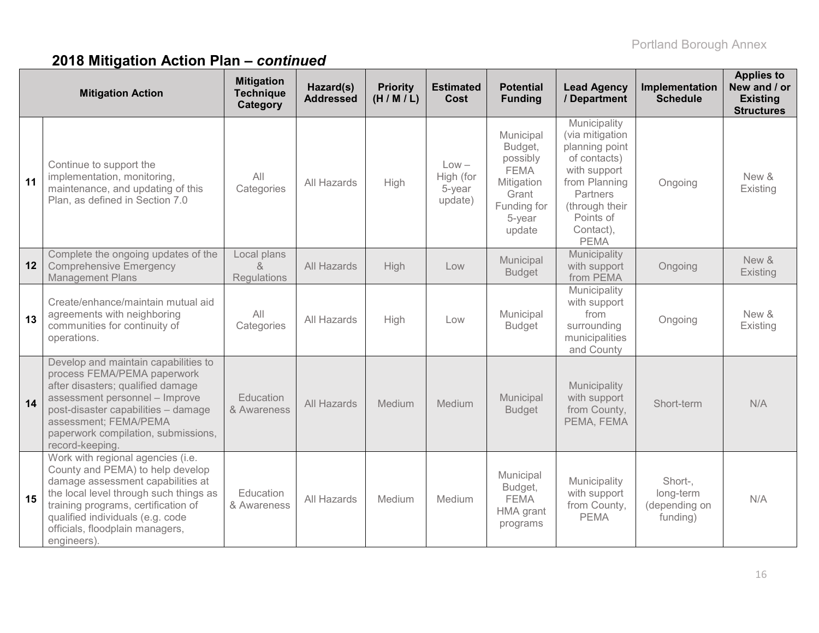|    | <b>Mitigation Action</b>                                                                                                                                                                                                                                                          | <b>Mitigation</b><br><b>Technique</b><br>Category | Hazard(s)<br><b>Addressed</b> | <b>Priority</b><br>(H/M/L) | <b>Estimated</b><br>Cost                  | <b>Potential</b><br><b>Funding</b>                                                                        | <b>Lead Agency</b><br>/ Department                                                                                                                                        | Implementation<br><b>Schedule</b>                 | <b>Applies to</b><br>New and / or<br><b>Existing</b><br><b>Structures</b> |
|----|-----------------------------------------------------------------------------------------------------------------------------------------------------------------------------------------------------------------------------------------------------------------------------------|---------------------------------------------------|-------------------------------|----------------------------|-------------------------------------------|-----------------------------------------------------------------------------------------------------------|---------------------------------------------------------------------------------------------------------------------------------------------------------------------------|---------------------------------------------------|---------------------------------------------------------------------------|
| 11 | Continue to support the<br>implementation, monitoring,<br>maintenance, and updating of this<br>Plan, as defined in Section 7.0                                                                                                                                                    | All<br>Categories                                 | All Hazards                   | High                       | $Low -$<br>High (for<br>5-year<br>update) | Municipal<br>Budget,<br>possibly<br><b>FEMA</b><br>Mitigation<br>Grant<br>Funding for<br>5-year<br>update | Municipality<br>(via mitigation<br>planning point<br>of contacts)<br>with support<br>from Planning<br>Partners<br>(through their<br>Points of<br>Contact),<br><b>PEMA</b> | Ongoing                                           | New &<br>Existing                                                         |
| 12 | Complete the ongoing updates of the<br><b>Comprehensive Emergency</b><br><b>Management Plans</b>                                                                                                                                                                                  | Local plans<br>$\lambda$<br><b>Regulations</b>    | All Hazards                   | High                       | Low                                       | Municipal<br><b>Budget</b>                                                                                | Municipality<br>with support<br>from PEMA                                                                                                                                 | Ongoing                                           | New &<br>Existing                                                         |
| 13 | Create/enhance/maintain mutual aid<br>agreements with neighboring<br>communities for continuity of<br>operations.                                                                                                                                                                 | All<br>Categories                                 | All Hazards                   | High                       | Low                                       | Municipal<br><b>Budget</b>                                                                                | Municipality<br>with support<br>from<br>surrounding<br>municipalities<br>and County                                                                                       | Ongoing                                           | New &<br>Existing                                                         |
| 14 | Develop and maintain capabilities to<br>process FEMA/PEMA paperwork<br>after disasters; qualified damage<br>assessment personnel - Improve<br>post-disaster capabilities - damage<br>assessment; FEMA/PEMA<br>paperwork compilation, submissions,<br>record-keeping.              | Education<br>& Awareness                          | All Hazards                   | Medium                     | Medium                                    | Municipal<br><b>Budget</b>                                                                                | Municipality<br>with support<br>from County,<br>PEMA, FEMA                                                                                                                | Short-term                                        | N/A                                                                       |
| 15 | Work with regional agencies (i.e.<br>County and PEMA) to help develop<br>damage assessment capabilities at<br>the local level through such things as<br>training programs, certification of<br>qualified individuals (e.g. code<br>officials, floodplain managers,<br>engineers). | Education<br>& Awareness                          | All Hazards                   | Medium                     | Medium                                    | Municipal<br>Budget,<br><b>FEMA</b><br>HMA grant<br>programs                                              | Municipality<br>with support<br>from County,<br><b>PEMA</b>                                                                                                               | Short-,<br>long-term<br>(depending on<br>funding) | N/A                                                                       |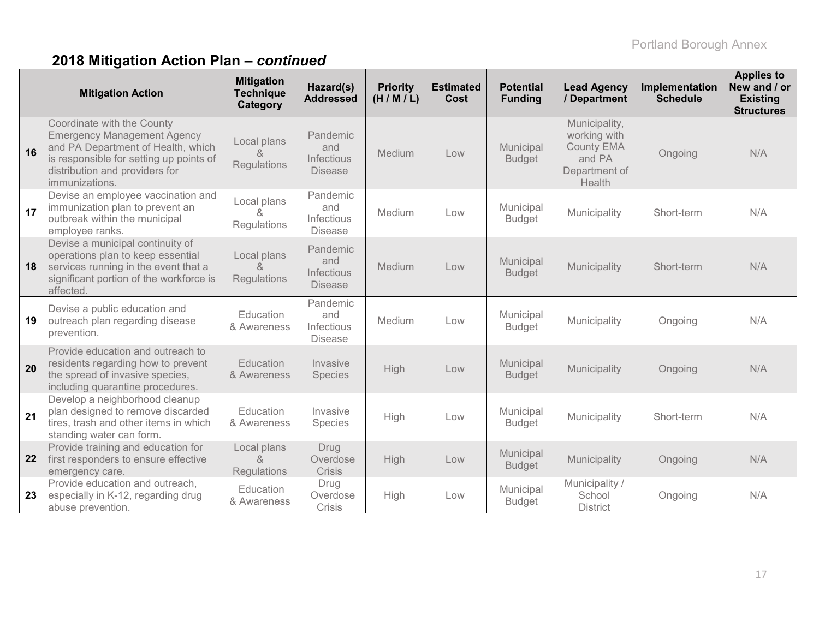|    | <b>Mitigation Action</b>                                                                                                                                                                              | <b>Mitigation</b><br><b>Technique</b><br>Category | Hazard(s)<br><b>Addressed</b>                   | <b>Priority</b><br>(H/M/L) | <b>Estimated</b><br>Cost | <b>Potential</b><br><b>Funding</b> | <b>Lead Agency</b><br>/ Department                                                      | Implementation<br><b>Schedule</b> | <b>Applies to</b><br>New and / or<br><b>Existing</b><br><b>Structures</b> |
|----|-------------------------------------------------------------------------------------------------------------------------------------------------------------------------------------------------------|---------------------------------------------------|-------------------------------------------------|----------------------------|--------------------------|------------------------------------|-----------------------------------------------------------------------------------------|-----------------------------------|---------------------------------------------------------------------------|
| 16 | Coordinate with the County<br><b>Emergency Management Agency</b><br>and PA Department of Health, which<br>is responsible for setting up points of<br>distribution and providers for<br>immunizations. | Local plans<br>&<br>Regulations                   | Pandemic<br>and<br>Infectious<br><b>Disease</b> | Medium                     | Low                      | Municipal<br><b>Budget</b>         | Municipality,<br>working with<br><b>County EMA</b><br>and PA<br>Department of<br>Health | Ongoing                           | N/A                                                                       |
| 17 | Devise an employee vaccination and<br>immunization plan to prevent an<br>outbreak within the municipal<br>employee ranks.                                                                             | Local plans<br>&<br>Regulations                   | Pandemic<br>and<br>Infectious<br><b>Disease</b> | Medium                     | Low                      | Municipal<br><b>Budget</b>         | Municipality                                                                            | Short-term                        | N/A                                                                       |
| 18 | Devise a municipal continuity of<br>operations plan to keep essential<br>services running in the event that a<br>significant portion of the workforce is<br>affected.                                 | Local plans<br>ୟ<br>Regulations                   | Pandemic<br>and<br>Infectious<br><b>Disease</b> | Medium                     | Low                      | Municipal<br><b>Budget</b>         | Municipality                                                                            | Short-term                        | N/A                                                                       |
| 19 | Devise a public education and<br>outreach plan regarding disease<br>prevention.                                                                                                                       | Education<br>& Awareness                          | Pandemic<br>and<br>Infectious<br><b>Disease</b> | Medium                     | Low                      | Municipal<br><b>Budget</b>         | Municipality                                                                            | Ongoing                           | N/A                                                                       |
| 20 | Provide education and outreach to<br>residents regarding how to prevent<br>the spread of invasive species,<br>including quarantine procedures.                                                        | Education<br>& Awareness                          | Invasive<br><b>Species</b>                      | High                       | Low                      | Municipal<br><b>Budget</b>         | Municipality                                                                            | Ongoing                           | N/A                                                                       |
| 21 | Develop a neighborhood cleanup<br>plan designed to remove discarded<br>tires, trash and other items in which<br>standing water can form.                                                              | Education<br>& Awareness                          | Invasive<br><b>Species</b>                      | High                       | Low                      | Municipal<br><b>Budget</b>         | Municipality                                                                            | Short-term                        | N/A                                                                       |
| 22 | Provide training and education for<br>first responders to ensure effective<br>emergency care.                                                                                                         | Local plans<br>8<br><b>Regulations</b>            | Drug<br>Overdose<br>Crisis                      | High                       | Low                      | Municipal<br><b>Budget</b>         | Municipality                                                                            | Ongoing                           | N/A                                                                       |
| 23 | Provide education and outreach,<br>especially in K-12, regarding drug<br>abuse prevention.                                                                                                            | Education<br>& Awareness                          | Drug<br>Overdose<br><b>Crisis</b>               | High                       | Low                      | Municipal<br><b>Budget</b>         | Municipality /<br>School<br><b>District</b>                                             | Ongoing                           | N/A                                                                       |